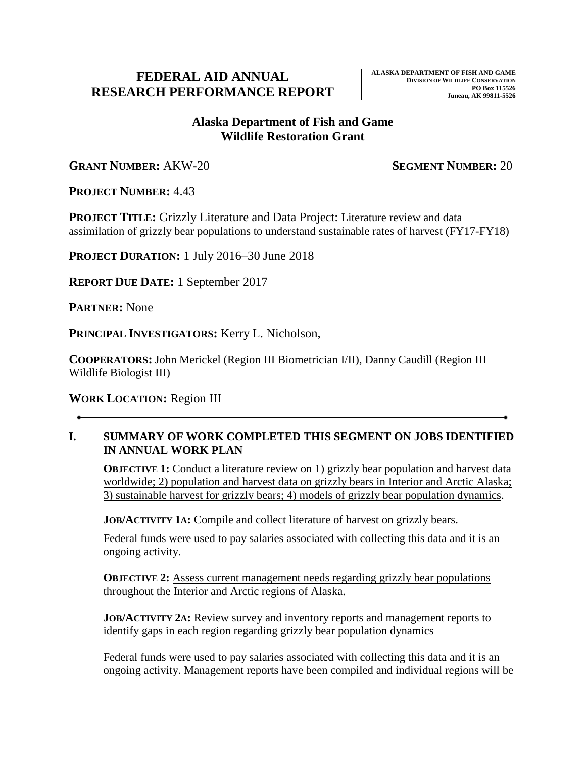### **Alaska Department of Fish and Game Wildlife Restoration Grant**

**GRANT NUMBER:** AKW-20 **SEGMENT NUMBER:** 20

**PROJECT NUMBER:** 4.43

**PROJECT TITLE:** Grizzly Literature and Data Project: Literature review and data assimilation of grizzly bear populations to understand sustainable rates of harvest (FY17-FY18)

**PROJECT DURATION:** 1 July 2016–30 June 2018

**REPORT DUE DATE:** 1 September 2017

**PARTNER:** None

**PRINCIPAL INVESTIGATORS:** Kerry L. Nicholson,

**COOPERATORS:** John Merickel (Region III Biometrician I/II), Danny Caudill (Region III Wildlife Biologist III)

**WORK LOCATION:** Region III

#### **I. SUMMARY OF WORK COMPLETED THIS SEGMENT ON JOBS IDENTIFIED IN ANNUAL WORK PLAN**

**OBJECTIVE 1:** Conduct a literature review on 1) grizzly bear population and harvest data worldwide; 2) population and harvest data on grizzly bears in Interior and Arctic Alaska; 3) sustainable harvest for grizzly bears; 4) models of grizzly bear population dynamics.

**JOB/ACTIVITY 1A:** Compile and collect literature of harvest on grizzly bears.

Federal funds were used to pay salaries associated with collecting this data and it is an ongoing activity.

**OBJECTIVE 2:** Assess current management needs regarding grizzly bear populations throughout the Interior and Arctic regions of Alaska.

**JOB/ACTIVITY 2A:** Review survey and inventory reports and management reports to identify gaps in each region regarding grizzly bear population dynamics

Federal funds were used to pay salaries associated with collecting this data and it is an ongoing activity. Management reports have been compiled and individual regions will be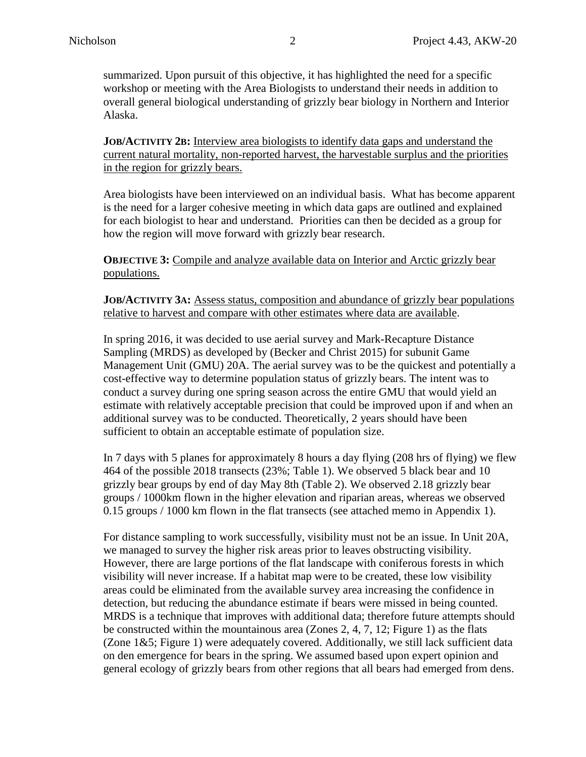summarized. Upon pursuit of this objective, it has highlighted the need for a specific workshop or meeting with the Area Biologists to understand their needs in addition to overall general biological understanding of grizzly bear biology in Northern and Interior Alaska.

**JOB/ACTIVITY 2B:** Interview area biologists to identify data gaps and understand the current natural mortality, non-reported harvest, the harvestable surplus and the priorities in the region for grizzly bears.

Area biologists have been interviewed on an individual basis. What has become apparent is the need for a larger cohesive meeting in which data gaps are outlined and explained for each biologist to hear and understand. Priorities can then be decided as a group for how the region will move forward with grizzly bear research.

**OBJECTIVE 3:** Compile and analyze available data on Interior and Arctic grizzly bear populations.

**JOB/ACTIVITY 3A:** Assess status, composition and abundance of grizzly bear populations relative to harvest and compare with other estimates where data are available.

In spring 2016, it was decided to use aerial survey and Mark-Recapture Distance Sampling (MRDS) as developed by (Becker and Christ 2015) for subunit Game Management Unit (GMU) 20A. The aerial survey was to be the quickest and potentially a cost-effective way to determine population status of grizzly bears. The intent was to conduct a survey during one spring season across the entire GMU that would yield an estimate with relatively acceptable precision that could be improved upon if and when an additional survey was to be conducted. Theoretically, 2 years should have been sufficient to obtain an acceptable estimate of population size.

In 7 days with 5 planes for approximately 8 hours a day flying (208 hrs of flying) we flew 464 of the possible 2018 transects (23%; Table 1). We observed 5 black bear and 10 grizzly bear groups by end of day May 8th (Table 2). We observed 2.18 grizzly bear groups / 1000km flown in the higher elevation and riparian areas, whereas we observed 0.15 groups / 1000 km flown in the flat transects (see attached memo in Appendix 1).

For distance sampling to work successfully, visibility must not be an issue. In Unit 20A, we managed to survey the higher risk areas prior to leaves obstructing visibility. However, there are large portions of the flat landscape with coniferous forests in which visibility will never increase. If a habitat map were to be created, these low visibility areas could be eliminated from the available survey area increasing the confidence in detection, but reducing the abundance estimate if bears were missed in being counted. MRDS is a technique that improves with additional data; therefore future attempts should be constructed within the mountainous area (Zones 2, 4, 7, 12; Figure 1) as the flats (Zone 1&5; Figure 1) were adequately covered. Additionally, we still lack sufficient data on den emergence for bears in the spring. We assumed based upon expert opinion and general ecology of grizzly bears from other regions that all bears had emerged from dens.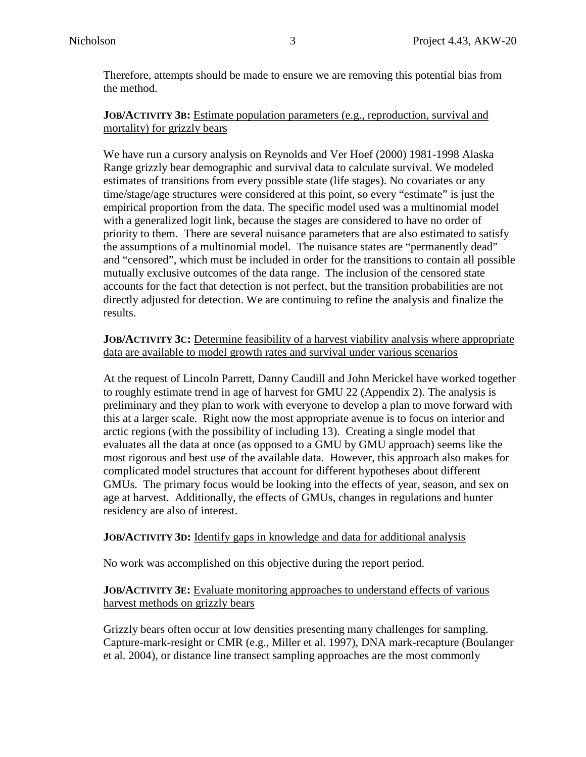Therefore, attempts should be made to ensure we are removing this potential bias from the method.

#### **JOB/ACTIVITY 3B:** Estimate population parameters (e.g., reproduction, survival and mortality) for grizzly bears

We have run a cursory analysis on Reynolds and Ver Hoef (2000) 1981-1998 Alaska Range grizzly bear demographic and survival data to calculate survival. We modeled estimates of transitions from every possible state (life stages). No covariates or any time/stage/age structures were considered at this point, so every "estimate" is just the empirical proportion from the data. The specific model used was a multinomial model with a generalized logit link, because the stages are considered to have no order of priority to them. There are several nuisance parameters that are also estimated to satisfy the assumptions of a multinomial model. The nuisance states are "permanently dead" and "censored", which must be included in order for the transitions to contain all possible mutually exclusive outcomes of the data range. The inclusion of the censored state accounts for the fact that detection is not perfect, but the transition probabilities are not directly adjusted for detection. We are continuing to refine the analysis and finalize the results.

#### **JOB/ACTIVITY 3C:** Determine feasibility of a harvest viability analysis where appropriate data are available to model growth rates and survival under various scenarios

At the request of Lincoln Parrett, Danny Caudill and John Merickel have worked together to roughly estimate trend in age of harvest for GMU 22 (Appendix 2). The analysis is preliminary and they plan to work with everyone to develop a plan to move forward with this at a larger scale. Right now the most appropriate avenue is to focus on interior and arctic regions (with the possibility of including 13). Creating a single model that evaluates all the data at once (as opposed to a GMU by GMU approach) seems like the most rigorous and best use of the available data. However, this approach also makes for complicated model structures that account for different hypotheses about different GMUs. The primary focus would be looking into the effects of year, season, and sex on age at harvest. Additionally, the effects of GMUs, changes in regulations and hunter residency are also of interest.

#### **JOB/ACTIVITY 3D:** Identify gaps in knowledge and data for additional analysis

No work was accomplished on this objective during the report period.

#### **JOB/ACTIVITY 3E:** Evaluate monitoring approaches to understand effects of various harvest methods on grizzly bears

Grizzly bears often occur at low densities presenting many challenges for sampling. Capture-mark-resight or CMR (e.g., Miller et al. 1997), DNA mark-recapture (Boulanger et al. 2004), or distance line transect sampling approaches are the most commonly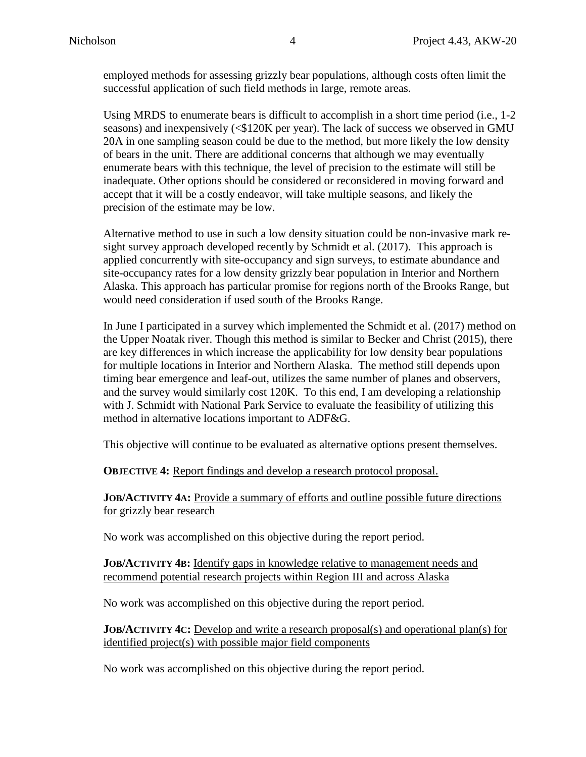employed methods for assessing grizzly bear populations, although costs often limit the successful application of such field methods in large, remote areas.

Using MRDS to enumerate bears is difficult to accomplish in a short time period (i.e., 1-2 seasons) and inexpensively (<\$120K per year). The lack of success we observed in GMU 20A in one sampling season could be due to the method, but more likely the low density of bears in the unit. There are additional concerns that although we may eventually enumerate bears with this technique, the level of precision to the estimate will still be inadequate. Other options should be considered or reconsidered in moving forward and accept that it will be a costly endeavor, will take multiple seasons, and likely the precision of the estimate may be low.

Alternative method to use in such a low density situation could be non-invasive mark resight survey approach developed recently by Schmidt et al. (2017). This approach is applied concurrently with site-occupancy and sign surveys, to estimate abundance and site-occupancy rates for a low density grizzly bear population in Interior and Northern Alaska. This approach has particular promise for regions north of the Brooks Range, but would need consideration if used south of the Brooks Range.

In June I participated in a survey which implemented the Schmidt et al. (2017) method on the Upper Noatak river. Though this method is similar to Becker and Christ (2015), there are key differences in which increase the applicability for low density bear populations for multiple locations in Interior and Northern Alaska. The method still depends upon timing bear emergence and leaf-out, utilizes the same number of planes and observers, and the survey would similarly cost 120K. To this end, I am developing a relationship with J. Schmidt with National Park Service to evaluate the feasibility of utilizing this method in alternative locations important to ADF&G.

This objective will continue to be evaluated as alternative options present themselves.

**OBJECTIVE 4:** Report findings and develop a research protocol proposal.

**JOB/ACTIVITY 4A:** Provide a summary of efforts and outline possible future directions for grizzly bear research

No work was accomplished on this objective during the report period.

#### **JOB/ACTIVITY 4B:** Identify gaps in knowledge relative to management needs and recommend potential research projects within Region III and across Alaska

No work was accomplished on this objective during the report period.

**JOB/ACTIVITY 4C:** Develop and write a research proposal(s) and operational plan(s) for identified project(s) with possible major field components

No work was accomplished on this objective during the report period.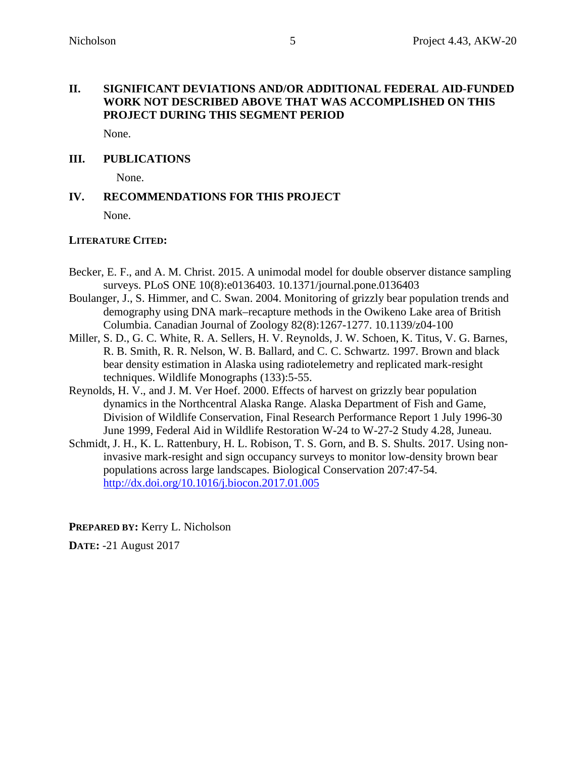#### **II. SIGNIFICANT DEVIATIONS AND/OR ADDITIONAL FEDERAL AID-FUNDED WORK NOT DESCRIBED ABOVE THAT WAS ACCOMPLISHED ON THIS PROJECT DURING THIS SEGMENT PERIOD**

None.

#### **III. PUBLICATIONS**

None.

#### **IV. RECOMMENDATIONS FOR THIS PROJECT**

None.

#### **LITERATURE CITED:**

- Becker, E. F., and A. M. Christ. 2015. A unimodal model for double observer distance sampling surveys. PLoS ONE 10(8):e0136403. 10.1371/journal.pone.0136403
- Boulanger, J., S. Himmer, and C. Swan. 2004. Monitoring of grizzly bear population trends and demography using DNA mark–recapture methods in the Owikeno Lake area of British Columbia. Canadian Journal of Zoology 82(8):1267-1277. 10.1139/z04-100
- Miller, S. D., G. C. White, R. A. Sellers, H. V. Reynolds, J. W. Schoen, K. Titus, V. G. Barnes, R. B. Smith, R. R. Nelson, W. B. Ballard, and C. C. Schwartz. 1997. Brown and black bear density estimation in Alaska using radiotelemetry and replicated mark-resight techniques. Wildlife Monographs (133):5-55.
- Reynolds, H. V., and J. M. Ver Hoef. 2000. Effects of harvest on grizzly bear population dynamics in the Northcentral Alaska Range. Alaska Department of Fish and Game, Division of Wildlife Conservation, Final Research Performance Report 1 July 1996-30 June 1999, Federal Aid in Wildlife Restoration W-24 to W-27-2 Study 4.28, Juneau.
- Schmidt, J. H., K. L. Rattenbury, H. L. Robison, T. S. Gorn, and B. S. Shults. 2017. Using noninvasive mark-resight and sign occupancy surveys to monitor low-density brown bear populations across large landscapes. Biological Conservation 207:47-54. <http://dx.doi.org/10.1016/j.biocon.2017.01.005>

**PREPARED BY:** Kerry L. Nicholson

**DATE:** -21 August 2017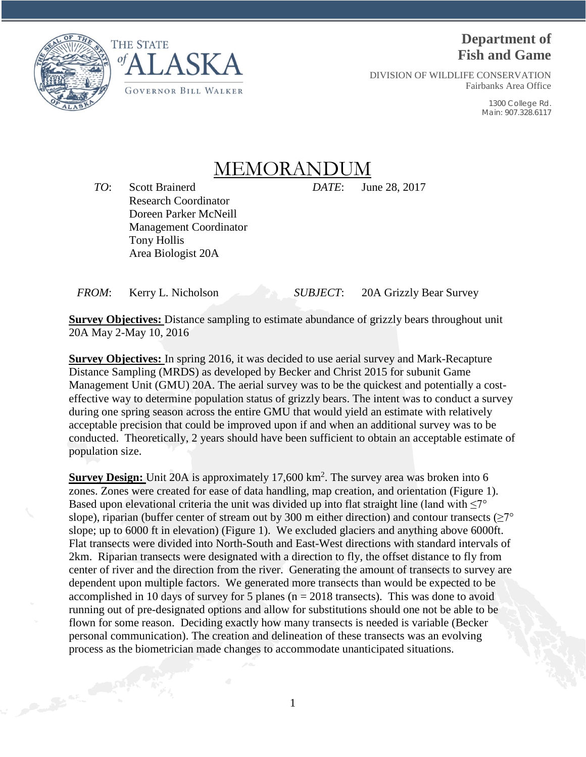



# **Department of Fish and Game**

DIVISION OF WILDLIFE CONSERVATION Fairbanks Area Office

> 1300 College Rd. Main: 907.328.6117

# MEMORANDU

*TO*: Scott Brainerd *DATE*: June 28, 2017 Research Coordinator Doreen Parker McNeill Management Coordinator Tony Hollis Area Biologist 20A

*FROM*: Kerry L. Nicholson *SUBJECT*: 20A Grizzly Bear Survey

**Survey Objectives:** Distance sampling to estimate abundance of grizzly bears throughout unit 20A May 2-May 10, 2016

**Survey Objectives:** In spring 2016, it was decided to use aerial survey and Mark-Recapture Distance Sampling (MRDS) as developed by Becker and Christ 2015 for subunit Game Management Unit (GMU) 20A. The aerial survey was to be the quickest and potentially a costeffective way to determine population status of grizzly bears. The intent was to conduct a survey during one spring season across the entire GMU that would yield an estimate with relatively acceptable precision that could be improved upon if and when an additional survey was to be conducted. Theoretically, 2 years should have been sufficient to obtain an acceptable estimate of population size.

**Survey Design:** Unit 20A is approximately 17,600 km<sup>2</sup>. The survey area was broken into 6 zones. Zones were created for ease of data handling, map creation, and orientation (Figure 1). Based upon elevational criteria the unit was divided up into flat straight line (land with  $\leq 7^{\circ}$ ) slope), riparian (buffer center of stream out by 300 m either direction) and contour transects ( $\geq 7^{\circ}$ slope; up to 6000 ft in elevation) (Figure 1). We excluded glaciers and anything above 6000ft. Flat transects were divided into North-South and East-West directions with standard intervals of 2km. Riparian transects were designated with a direction to fly, the offset distance to fly from center of river and the direction from the river. Generating the amount of transects to survey are dependent upon multiple factors. We generated more transects than would be expected to be accomplished in 10 days of survey for 5 planes ( $n = 2018$  transects). This was done to avoid running out of pre-designated options and allow for substitutions should one not be able to be flown for some reason. Deciding exactly how many transects is needed is variable (Becker personal communication). The creation and delineation of these transects was an evolving process as the biometrician made changes to accommodate unanticipated situations.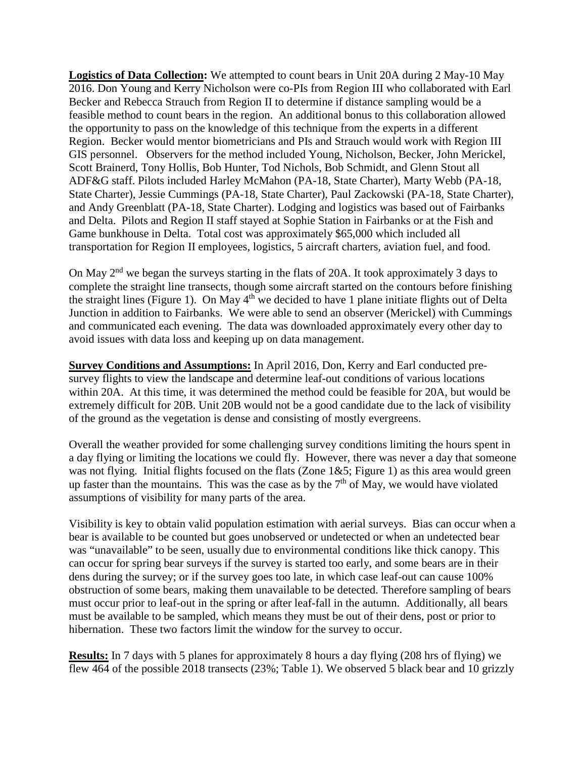**Logistics of Data Collection:** We attempted to count bears in Unit 20A during 2 May-10 May 2016. Don Young and Kerry Nicholson were co-PIs from Region III who collaborated with Earl Becker and Rebecca Strauch from Region II to determine if distance sampling would be a feasible method to count bears in the region. An additional bonus to this collaboration allowed the opportunity to pass on the knowledge of this technique from the experts in a different Region. Becker would mentor biometricians and PIs and Strauch would work with Region III GIS personnel. Observers for the method included Young, Nicholson, Becker, John Merickel, Scott Brainerd, Tony Hollis, Bob Hunter, Tod Nichols, Bob Schmidt, and Glenn Stout all ADF&G staff. Pilots included Harley McMahon (PA-18, State Charter), Marty Webb (PA-18, State Charter), Jessie Cummings (PA-18, State Charter), Paul Zackowski (PA-18, State Charter), and Andy Greenblatt (PA-18, State Charter). Lodging and logistics was based out of Fairbanks and Delta. Pilots and Region II staff stayed at Sophie Station in Fairbanks or at the Fish and Game bunkhouse in Delta. Total cost was approximately \$65,000 which included all transportation for Region II employees, logistics, 5 aircraft charters, aviation fuel, and food.

On May 2<sup>nd</sup> we began the surveys starting in the flats of 20A. It took approximately 3 days to complete the straight line transects, though some aircraft started on the contours before finishing the straight lines (Figure 1). On May 4<sup>th</sup> we decided to have 1 plane initiate flights out of Delta Junction in addition to Fairbanks. We were able to send an observer (Merickel) with Cummings and communicated each evening. The data was downloaded approximately every other day to avoid issues with data loss and keeping up on data management.

**Survey Conditions and Assumptions:** In April 2016, Don, Kerry and Earl conducted presurvey flights to view the landscape and determine leaf-out conditions of various locations within 20A. At this time, it was determined the method could be feasible for 20A, but would be extremely difficult for 20B. Unit 20B would not be a good candidate due to the lack of visibility of the ground as the vegetation is dense and consisting of mostly evergreens.

Overall the weather provided for some challenging survey conditions limiting the hours spent in a day flying or limiting the locations we could fly. However, there was never a day that someone was not flying. Initial flights focused on the flats (Zone 1&5; Figure 1) as this area would green up faster than the mountains. This was the case as by the  $7<sup>th</sup>$  of May, we would have violated assumptions of visibility for many parts of the area.

Visibility is key to obtain valid population estimation with aerial surveys. Bias can occur when a bear is available to be counted but goes unobserved or undetected or when an undetected bear was "unavailable" to be seen, usually due to environmental conditions like thick canopy. This can occur for spring bear surveys if the survey is started too early, and some bears are in their dens during the survey; or if the survey goes too late, in which case leaf-out can cause 100% obstruction of some bears, making them unavailable to be detected. Therefore sampling of bears must occur prior to leaf-out in the spring or after leaf-fall in the autumn. Additionally, all bears must be available to be sampled, which means they must be out of their dens, post or prior to hibernation. These two factors limit the window for the survey to occur.

**Results:** In 7 days with 5 planes for approximately 8 hours a day flying (208 hrs of flying) we flew 464 of the possible 2018 transects (23%; Table 1). We observed 5 black bear and 10 grizzly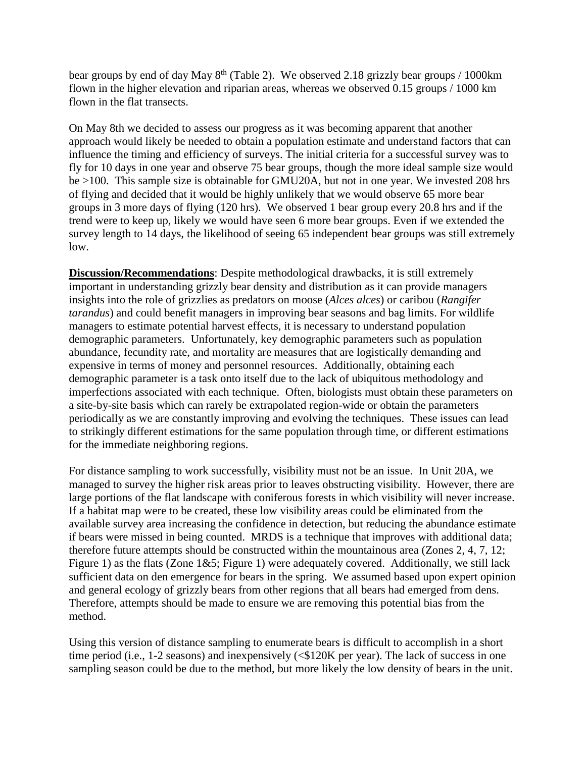bear groups by end of day May  $8<sup>th</sup>$  (Table 2). We observed 2.18 grizzly bear groups / 1000km flown in the higher elevation and riparian areas, whereas we observed 0.15 groups / 1000 km flown in the flat transects.

On May 8th we decided to assess our progress as it was becoming apparent that another approach would likely be needed to obtain a population estimate and understand factors that can influence the timing and efficiency of surveys. The initial criteria for a successful survey was to fly for 10 days in one year and observe 75 bear groups, though the more ideal sample size would be >100. This sample size is obtainable for GMU20A, but not in one year. We invested 208 hrs of flying and decided that it would be highly unlikely that we would observe 65 more bear groups in 3 more days of flying (120 hrs). We observed 1 bear group every 20.8 hrs and if the trend were to keep up, likely we would have seen 6 more bear groups. Even if we extended the survey length to 14 days, the likelihood of seeing 65 independent bear groups was still extremely low.

**Discussion/Recommendations**: Despite methodological drawbacks, it is still extremely important in understanding grizzly bear density and distribution as it can provide managers insights into the role of grizzlies as predators on moose (*Alces alces*) or caribou (*Rangifer tarandus*) and could benefit managers in improving bear seasons and bag limits. For wildlife managers to estimate potential harvest effects, it is necessary to understand population demographic parameters. Unfortunately, key demographic parameters such as population abundance, fecundity rate, and mortality are measures that are logistically demanding and expensive in terms of money and personnel resources. Additionally, obtaining each demographic parameter is a task onto itself due to the lack of ubiquitous methodology and imperfections associated with each technique. Often, biologists must obtain these parameters on a site-by-site basis which can rarely be extrapolated region-wide or obtain the parameters periodically as we are constantly improving and evolving the techniques. These issues can lead to strikingly different estimations for the same population through time, or different estimations for the immediate neighboring regions.

For distance sampling to work successfully, visibility must not be an issue. In Unit 20A, we managed to survey the higher risk areas prior to leaves obstructing visibility. However, there are large portions of the flat landscape with coniferous forests in which visibility will never increase. If a habitat map were to be created, these low visibility areas could be eliminated from the available survey area increasing the confidence in detection, but reducing the abundance estimate if bears were missed in being counted. MRDS is a technique that improves with additional data; therefore future attempts should be constructed within the mountainous area (Zones 2, 4, 7, 12; Figure 1) as the flats (Zone 1&5; Figure 1) were adequately covered. Additionally, we still lack sufficient data on den emergence for bears in the spring. We assumed based upon expert opinion and general ecology of grizzly bears from other regions that all bears had emerged from dens. Therefore, attempts should be made to ensure we are removing this potential bias from the method.

Using this version of distance sampling to enumerate bears is difficult to accomplish in a short time period (i.e., 1-2 seasons) and inexpensively (<\$120K per year). The lack of success in one sampling season could be due to the method, but more likely the low density of bears in the unit.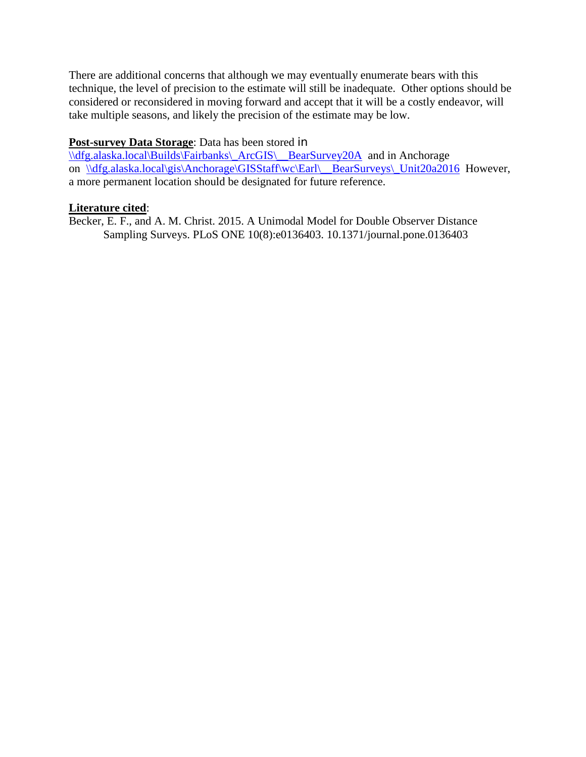There are additional concerns that although we may eventually enumerate bears with this technique, the level of precision to the estimate will still be inadequate. Other options should be considered or reconsidered in moving forward and accept that it will be a costly endeavor, will take multiple seasons, and likely the precision of the estimate may be low.

#### **Post-survey Data Storage**: Data has been stored in

[\\dfg.alaska.local\Builds\Fairbanks\\\_ArcGIS\\\_\\_BearSurvey20A](file://dfg.alaska.local/Builds/Fairbanks/_ArcGIS/__BearSurvey20A) and in Anchorage on \\dfg.alaska.local\gis\Anchorage\GISStaff\wc\Earl\\_BearSurveys\\_Unit20a2016 However, a more permanent location should be designated for future reference.

#### **Literature cited**:

Becker, E. F., and A. M. Christ. 2015. A Unimodal Model for Double Observer Distance Sampling Surveys. PLoS ONE 10(8):e0136403. 10.1371/journal.pone.0136403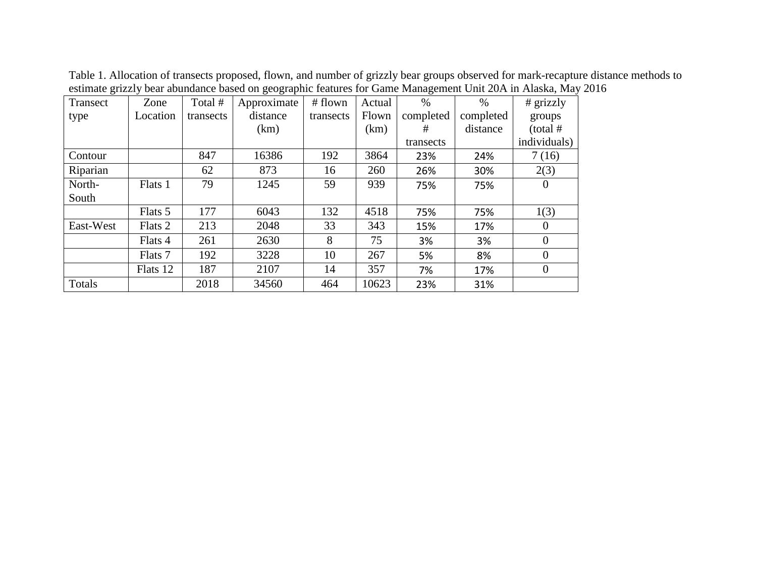| ----- <i>-</i> --<br>Transect | Zone     | Total #   | $\sigma$ - $\sigma$ - $\sigma$<br>Approximate | # flown   | Actual | $\%$      | $\%$      | # grizzly      |  |
|-------------------------------|----------|-----------|-----------------------------------------------|-----------|--------|-----------|-----------|----------------|--|
| type                          | Location | transects | distance                                      | transects | Flown  | completed | completed | groups         |  |
|                               |          |           | (km)                                          |           | (km)   | #         | distance  | $(total \#$    |  |
|                               |          |           |                                               |           |        | transects |           | individuals)   |  |
| Contour                       |          | 847       | 16386                                         | 192       | 3864   | 23%       | 24%       | 7(16)          |  |
| Riparian                      |          | 62        | 873                                           | 16        | 260    | 26%       | 30%       | 2(3)           |  |
| North-                        | Flats 1  | 79        | 1245                                          | 59        | 939    | 75%       | 75%       | $\theta$       |  |
| South                         |          |           |                                               |           |        |           |           |                |  |
|                               | Flats 5  | 177       | 6043                                          | 132       | 4518   | 75%       | 75%       | 1(3)           |  |
| East-West                     | Flats 2  | 213       | 2048                                          | 33        | 343    | 15%       | 17%       | $\overline{0}$ |  |
|                               | Flats 4  | 261       | 2630                                          | 8         | 75     | 3%        | 3%        | $\overline{0}$ |  |
|                               | Flats 7  | 192       | 3228                                          | 10        | 267    | 5%        | 8%        | $\overline{0}$ |  |
|                               | Flats 12 | 187       | 2107                                          | 14        | 357    | 7%        | 17%       | $\overline{0}$ |  |
| Totals                        |          | 2018      | 34560                                         | 464       | 10623  | 23%       | 31%       |                |  |

Table 1. Allocation of transects proposed, flown, and number of grizzly bear groups observed for mark-recapture distance methods to estimate grizzly bear abundance based on geographic features for Game Management Unit 20A in Alaska, May 2016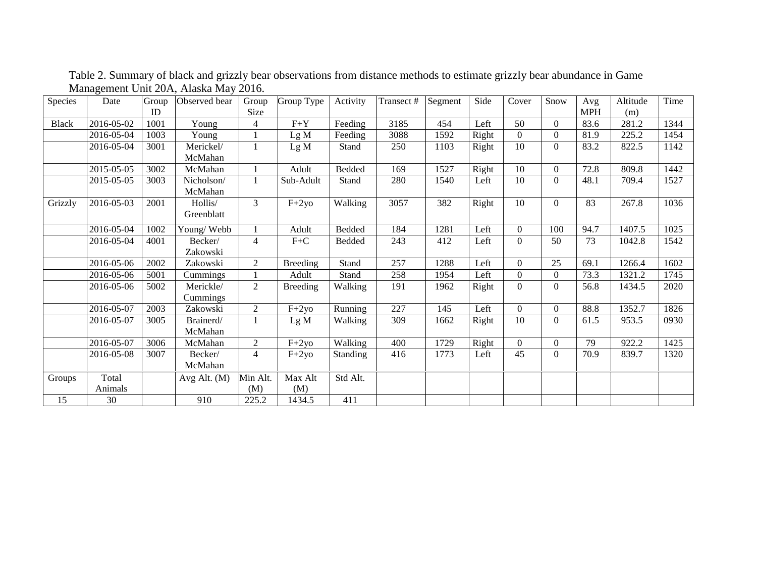| Species      | Date       | Group<br>ID | Observed bear         | Group<br>Size  | Group Type      | Activity | Transect # | Segment | Side  | Cover    | Snow           | Avg<br><b>MPH</b> | Altitude<br>(m) | Time |
|--------------|------------|-------------|-----------------------|----------------|-----------------|----------|------------|---------|-------|----------|----------------|-------------------|-----------------|------|
| <b>Black</b> | 2016-05-02 | 1001        | Young                 | 4              | $F+Y$           | Feeding  | 3185       | 454     | Left  | 50       | $\overline{0}$ | 83.6              | 281.2           | 1344 |
|              | 2016-05-04 | 1003        | Young                 |                | Lg M            | Feeding  | 3088       | 1592    | Right | $\Omega$ | $\overline{0}$ | 81.9              | 225.2           | 1454 |
|              | 2016-05-04 | 3001        | Merickel/             |                | Lg M            | Stand    | 250        | 1103    | Right | 10       | $\Omega$       | 83.2              | 822.5           | 1142 |
|              |            |             | McMahan               |                |                 |          |            |         |       |          |                |                   |                 |      |
|              | 2015-05-05 | 3002        | McMahan               |                | Adult           | Bedded   | 169        | 1527    | Right | 10       | $\overline{0}$ | 72.8              | 809.8           | 1442 |
|              | 2015-05-05 | 3003        | Nicholson/<br>McMahan |                | Sub-Adult       | Stand    | 280        | 1540    | Left  | 10       | $\theta$       | 48.1              | 709.4           | 1527 |
| Grizzly      | 2016-05-03 | 2001        | Hollis/<br>Greenblatt | 3              | $F+2y0$         | Walking  | 3057       | 382     | Right | 10       | $\Omega$       | 83                | 267.8           | 1036 |
|              | 2016-05-04 | 1002        | Young/Webb            |                | Adult           | Bedded   | 184        | 1281    | Left  | $\Omega$ | 100            | 94.7              | 1407.5          | 1025 |
|              | 2016-05-04 | 4001        | Becker/<br>Zakowski   | 4              | $F+C$           | Bedded   | 243        | 412     | Left  | $\Omega$ | 50             | 73                | 1042.8          | 1542 |
|              | 2016-05-06 | 2002        | Zakowski              | 2              | <b>Breeding</b> | Stand    | 257        | 1288    | Left  | $\Omega$ | 25             | 69.1              | 1266.4          | 1602 |
|              | 2016-05-06 | 5001        | Cummings              |                | Adult           | Stand    | 258        | 1954    | Left  | $\Omega$ | $\theta$       | 73.3              | 1321.2          | 1745 |
|              | 2016-05-06 | 5002        | Merickle/<br>Cummings | $\overline{2}$ | <b>Breeding</b> | Walking  | 191        | 1962    | Right | $\Omega$ | $\Omega$       | 56.8              | 1434.5          | 2020 |
|              | 2016-05-07 | 2003        | Zakowski              | 2              | $F+2yo$         | Running  | 227        | 145     | Left  | $\Omega$ | $\overline{0}$ | 88.8              | 1352.7          | 1826 |
|              | 2016-05-07 | 3005        | Brainerd/<br>McMahan  |                | Lg M            | Walking  | 309        | 1662    | Right | 10       | $\Omega$       | 61.5              | 953.5           | 0930 |
|              | 2016-05-07 | 3006        | McMahan               | $\overline{2}$ | $F+2y0$         | Walking  | 400        | 1729    | Right | $\Omega$ | $\Omega$       | 79                | 922.2           | 1425 |
|              | 2016-05-08 | 3007        | Becker/<br>McMahan    | $\overline{4}$ | $F+2y$ o        | Standing | 416        | 1773    | Left  | 45       | $\Omega$       | 70.9              | 839.7           | 1320 |
| Groups       | Total      |             | Avg Alt. $(M)$        | Min Alt.       | Max Alt         | Std Alt. |            |         |       |          |                |                   |                 |      |
|              | Animals    |             |                       | (M)            | (M)             |          |            |         |       |          |                |                   |                 |      |
| 15           | 30         |             | 910                   | 225.2          | 1434.5          | 411      |            |         |       |          |                |                   |                 |      |

Table 2. Summary of black and grizzly bear observations from distance methods to estimate grizzly bear abundance in Game Management Unit 20A, Alaska May 2016.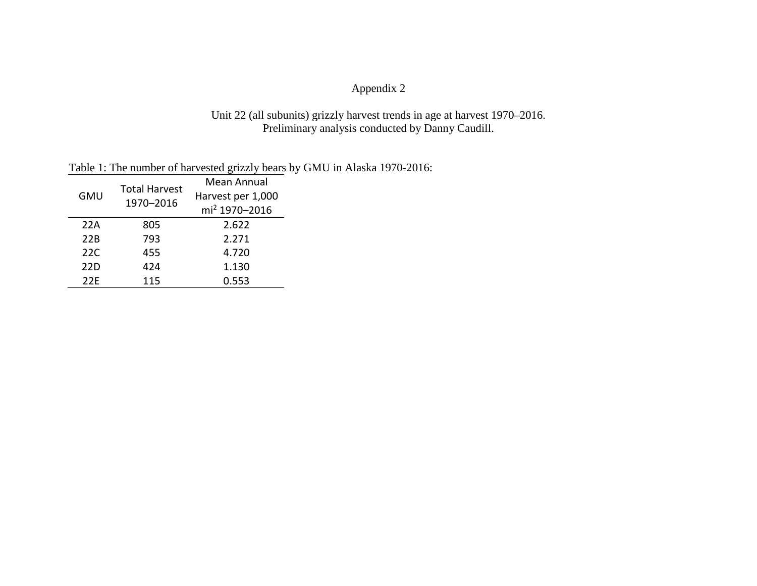## Appendix 2

#### Unit 22 (all subunits) grizzly harvest trends in age at harvest 1970–2016. Preliminary analysis conducted by Danny Caudill.

| Table 1: The number of harvested grizzly bears by GMU in Alaska 1970-2016: |
|----------------------------------------------------------------------------|
|----------------------------------------------------------------------------|

|            | <b>Total Harvest</b> | Mean Annual               |  |  |  |  |
|------------|----------------------|---------------------------|--|--|--|--|
| <b>GMU</b> | 1970-2016            | Harvest per 1,000         |  |  |  |  |
|            |                      | mi <sup>2</sup> 1970-2016 |  |  |  |  |
| 22A        | 805                  | 2.622                     |  |  |  |  |
| 22B        | 793                  | 2.271                     |  |  |  |  |
| 22C        | 455                  | 4.720                     |  |  |  |  |
| 22D        | 424                  | 1.130                     |  |  |  |  |
| 22F        | 115                  | 0.553                     |  |  |  |  |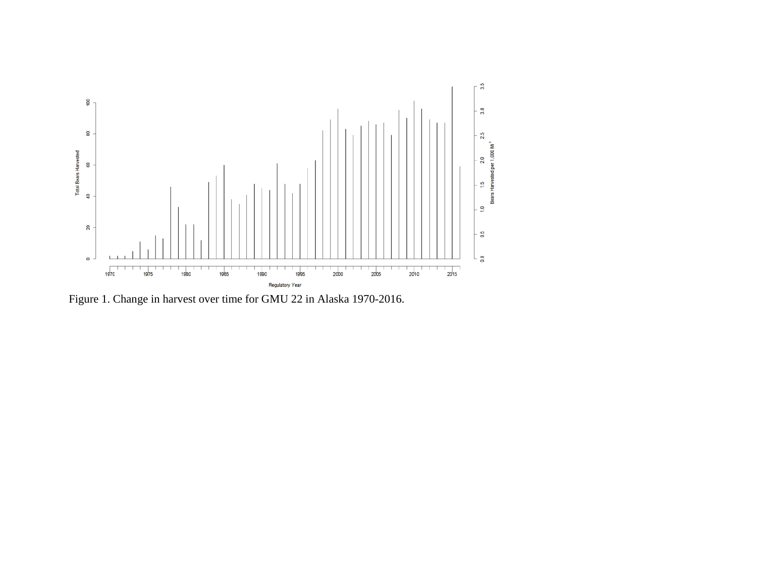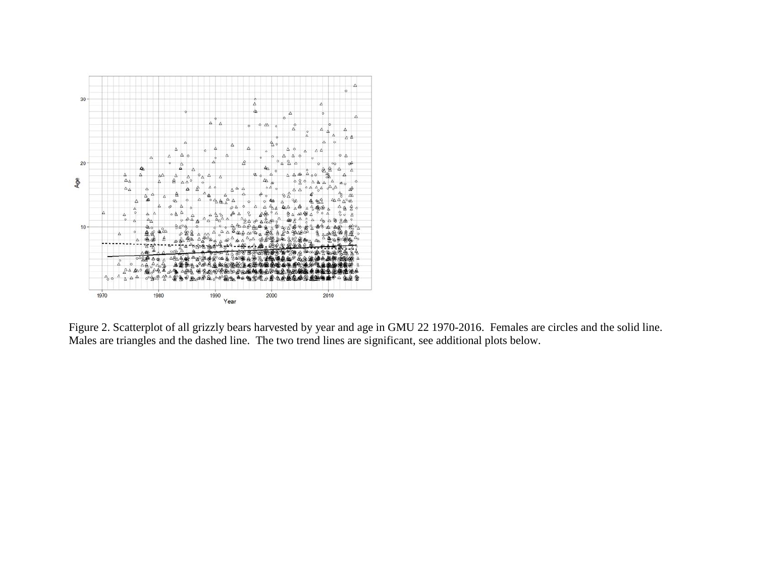

Figure 2. Scatterplot of all grizzly bears harvested by year and age in GMU 22 1970-2016. Females are circles and the solid line. Males are triangles and the dashed line. The two trend lines are significant, see additional plots below.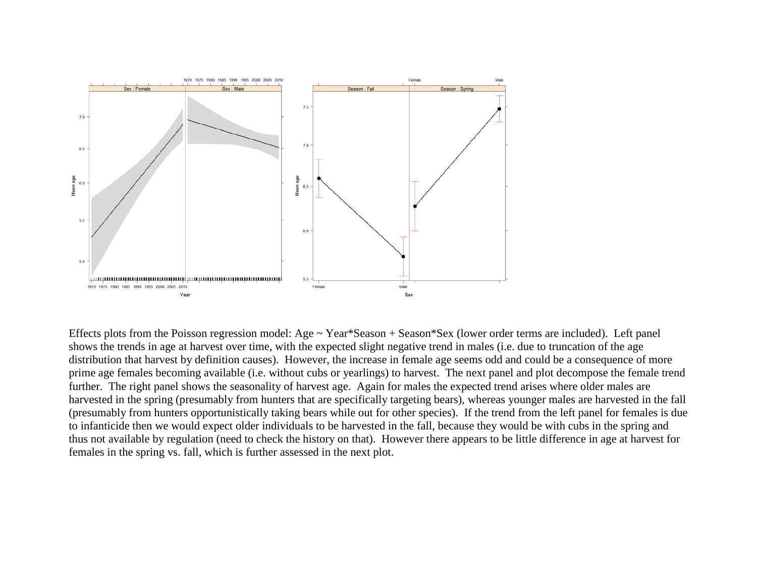

Effects plots from the Poisson regression model: Age ~ Year\*Season + Season\*Sex (lower order terms are included). Left panel shows the trends in age at harvest over time, with the expected slight negative trend in males (i.e. due to truncation of the age distribution that harvest by definition causes). However, the increase in female age seems odd and could be a consequence of more prime age females becoming available (i.e. without cubs or yearlings) to harvest. The next panel and plot decompose the female trend further. The right panel shows the seasonality of harvest age. Again for males the expected trend arises where older males are harvested in the spring (presumably from hunters that are specifically targeting bears), whereas younger males are harvested in the fall (presumably from hunters opportunistically taking bears while out for other species). If the trend from the left panel for females is due to infanticide then we would expect older individuals to be harvested in the fall, because they would be with cubs in the spring and thus not available by regulation (need to check the history on that). However there appears to be little difference in age at harvest for females in the spring vs. fall, which is further assessed in the next plot.